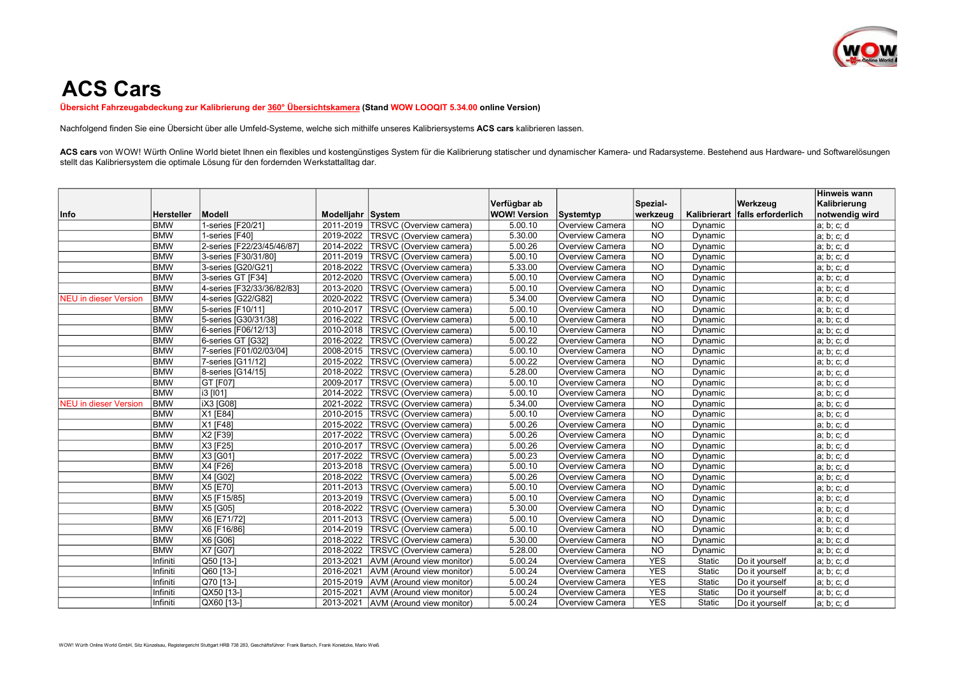

## ACS Cars

Übersicht Fahrzeugabdeckung zur Kalibrierung der 360° Übersichtskamera (Stand WOW LOOQIT 5.34.00 online Version)

Nachfolgend finden Sie eine Übersicht über alle Umfeld-Systeme, welche sich mithilfe unseres Kalibriersystems ACS cars kalibrieren lassen.

ACS cars von WOW! Würth Online World bietet Ihnen ein flexibles und kostengünstiges System für die Kalibrierung statischer und dynamischer Kamera- und Radarsysteme. Bestehend aus Hardware- und Softwarelösungen stellt das Kalibriersystem die optimale Lösung für den fordernden Werkstattalltag dar.

|                              |            |                            |                   |                                |                     |                 |                 |              |                    | Hinweis wann   |
|------------------------------|------------|----------------------------|-------------------|--------------------------------|---------------------|-----------------|-----------------|--------------|--------------------|----------------|
|                              |            |                            |                   |                                | Verfügbar ab        |                 | Spezial-        |              | Werkzeug           | Kalibrierung   |
| Info                         | Hersteller | Modell                     | Modelliahr System |                                | <b>WOW! Version</b> | Systemtyp       | werkzeug        | Kalibrierart | falls erforderlich | notwendig wird |
|                              | <b>BMW</b> | 1-series [F20/21]          | 2011-2019         | TRSVC (Overview camera)        | 5.00.10             | Overview Camera | $N$ O           | Dynamic      |                    | a; b; c; d     |
|                              | <b>BMW</b> | 1-series [F40]             | 2019-2022         | <b>TRSVC</b> (Overview camera) | 5.30.00             | Overview Camera | <b>NO</b>       | Dynamic      |                    | a; b; c; d     |
|                              | <b>BMW</b> | 2-series [F22/23/45/46/87] | 2014-2022         | TRSVC (Overview camera)        | 5.00.26             | Overview Camera | <b>NO</b>       | Dynamic      |                    | a; b; c; d     |
|                              | <b>BMW</b> | 3-series [F30/31/80]       | 2011-2019         | TRSVC (Overview camera)        | 5.00.10             | Overview Camera | $N$ O           | Dynamic      |                    | a; b; c; d     |
|                              | <b>BMW</b> | 3-series [G20/G21]         | 2018-2022         | TRSVC (Overview camera)        | 5.33.00             | Overview Camera | N <sub>O</sub>  | Dynamic      |                    | a; b; c; d     |
|                              | <b>BMW</b> | 3-series GT [F34]          | 2012-2020         | TRSVC (Overview camera)        | 5.00.10             | Overview Camera | $\overline{NO}$ | Dynamic      |                    | a; b; c; d     |
|                              | <b>BMW</b> | 4-series [F32/33/36/82/83] | 2013-2020         | TRSVC (Overview camera)        | 5.00.10             | Overview Camera | $N$ O           | Dynamic      |                    | a; b; c; d     |
| <b>NEU</b> in dieser Version | <b>BMW</b> | 4-series [G22/G82]         | 2020-2022         | <b>TRSVC</b> (Overview camera) | 5.34.00             | Overview Camera | <b>NO</b>       | Dynamic      |                    | a; b; c; d     |
|                              | <b>BMW</b> | 5-series [F10/11]          | 2010-2017         | TRSVC (Overview camera)        | 5.00.10             | Overview Camera | <b>NO</b>       | Dynamic      |                    | a; b; c; d     |
|                              | <b>BMW</b> | 5-series [G30/31/38]       | 2016-2022         | TRSVC (Overview camera)        | 5.00.10             | Overview Camera | $N$ O           | Dynamic      |                    | a; b; c; d     |
|                              | <b>BMW</b> | 6-series [F06/12/13]       | 2010-2018         | <b>TRSVC</b> (Overview camera) | 5.00.10             | Overview Camera | <b>NO</b>       | Dynamic      |                    | a; b; c; d     |
|                              | <b>BMW</b> | 6-series GT [G32]          | 2016-2022         | TRSVC (Overview camera)        | 5.00.22             | Overview Camera | <b>NO</b>       | Dynamic      |                    | a; b; c; d     |
|                              | <b>BMW</b> | 7-series [F01/02/03/04]    | 2008-2015         | TRSVC (Overview camera)        | 5.00.10             | Overview Camera | N <sub>O</sub>  | Dynamic      |                    | a; b; c; d     |
|                              | <b>BMW</b> | 7-series [G11/12]          | 2015-2022         | TRSVC (Overview camera)        | 5.00.22             | Overview Camera | <b>NO</b>       | Dynamic      |                    | a; b; c; d     |
|                              | <b>BMW</b> | 8-series [G14/15]          | 2018-2022         | TRSVC (Overview camera)        | 5.28.00             | Overview Camera | <b>NO</b>       | Dynamic      |                    | a; b; c; d     |
|                              | <b>BMW</b> | <b>GT [F07]</b>            | 2009-2017         | TRSVC (Overview camera)        | 5.00.10             | Overview Camera | <b>NO</b>       | Dynamic      |                    | a; b; c; d     |
|                              | <b>BMW</b> | i3 [101]                   | 2014-2022         | TRSVC (Overview camera)        | 5.00.10             | Overview Camera | <b>NO</b>       | Dynamic      |                    | a; b; c; d     |
| <b>NEU</b> in dieser Version | <b>BMW</b> | <b>IX3</b> [G08]           | 2021-2022         | TRSVC (Overview camera)        | 5.34.00             | Overview Camera | $\overline{NQ}$ | Dynamic      |                    | a; b; c; d     |
|                              | <b>BMW</b> | X1 [E84]                   | 2010-2015         | TRSVC (Overview camera)        | 5.00.10             | Overview Camera | <b>NO</b>       | Dynamic      |                    | a; b; c; d     |
|                              | <b>BMW</b> | X1 [F48]                   | 2015-2022         | TRSVC (Overview camera)        | 5.00.26             | Overview Camera | $\overline{NO}$ | Dynamic      |                    | a; b; c; d     |
|                              | <b>BMW</b> | X2 [F39]                   | 2017-2022         | TRSVC (Overview camera)        | 5.00.26             | Overview Camera | N <sub>O</sub>  | Dynamic      |                    | a; b; c; d     |
|                              | <b>BMW</b> | X3 [F25]                   | 2010-2017         | <b>TRSVC</b> (Overview camera) | 5.00.26             | Overview Camera | <b>NO</b>       | Dynamic      |                    | a; b; c; d     |
|                              | <b>BMW</b> | X3 [G01]                   | 2017-2022         | TRSVC (Overview camera)        | 5.00.23             | Overview Camera | <b>NO</b>       | Dynamic      |                    | a; b; c; d     |
|                              | <b>BMW</b> | X4 [F26]                   | 2013-2018         | TRSVC (Overview camera)        | 5.00.10             | Overview Camera | $N$ O           | Dynamic      |                    | a; b; c; d     |
|                              | <b>BMW</b> | X4 [G02]                   | 2018-2022         | TRSVC (Overview camera)        | 5.00.26             | Overview Camera | <b>NO</b>       | Dynamic      |                    | a; b; c; d     |
|                              | <b>BMW</b> | $X5$ [E70]                 | 2011-2013         | TRSVC (Overview camera)        | 5.00.10             | Overview Camera | <b>NO</b>       | Dynamic      |                    | a; b; c; d     |
|                              | <b>BMW</b> | X5 [F15/85]                | 2013-2019         | TRSVC (Overview camera)        | 5.00.10             | Overview Camera | N <sub>O</sub>  | Dynamic      |                    | a; b; c; d     |
|                              | <b>BMW</b> | X5 [G05]                   | 2018-2022         | TRSVC (Overview camera)        | 5.30.00             | Overview Camera | <b>NO</b>       | Dynamic      |                    | a; b; c; d     |
|                              | <b>BMW</b> | X6 [E71/72]                | 2011-2013         | TRSVC (Overview camera)        | 5.00.10             | Overview Camera | <b>NO</b>       | Dynamic      |                    | a; b; c; d     |
|                              | <b>BMW</b> | X6 [F16/86]                | 2014-2019         | TRSVC (Overview camera)        | 5.00.10             | Overview Camera | N <sub>O</sub>  | Dynamic      |                    | a; b; c; d     |
|                              | <b>BMW</b> | $X6$ [G06]                 | 2018-2022         | TRSVC (Overview camera)        | 5.30.00             | Overview Camera | <b>NO</b>       | Dynamic      |                    | a; b; c; d     |
|                              | <b>BMW</b> | X7 [G07]                   | 2018-2022         | TRSVC (Overview camera)        | 5.28.00             | Overview Camera | <b>NO</b>       | Dynamic      |                    | a; b; c; d     |
|                              | Infiniti   | Q50 [13-]                  | 2013-2021         | AVM (Around view monitor)      | 5.00.24             | Overview Camera | <b>YES</b>      | Static       | Do it yourself     | a; b; c; d     |
|                              | Infiniti   | Q60 [13-]                  | 2016-2021         | AVM (Around view monitor)      | 5.00.24             | Overview Camera | <b>YES</b>      | Static       | Do it yourself     | a; b; c; d     |
|                              | Infiniti   | Q70 [13-]                  | 2015-2019         | AVM (Around view monitor)      | 5.00.24             | Overview Camera | <b>YES</b>      | Static       | Do it yourself     | a; b; c; d     |
|                              | Infiniti   | QX50 [13-]                 | 2015-2021         | AVM (Around view monitor)      | 5.00.24             | Overview Camera | <b>YES</b>      | Static       | Do it yourself     | a; b; c; d     |
|                              | Infiniti   | QX60 [13-]                 | 2013-2021         | AVM (Around view monitor)      | 5.00.24             | Overview Camera | <b>YES</b>      | Static       | Do it yourself     | a; b; c; d     |